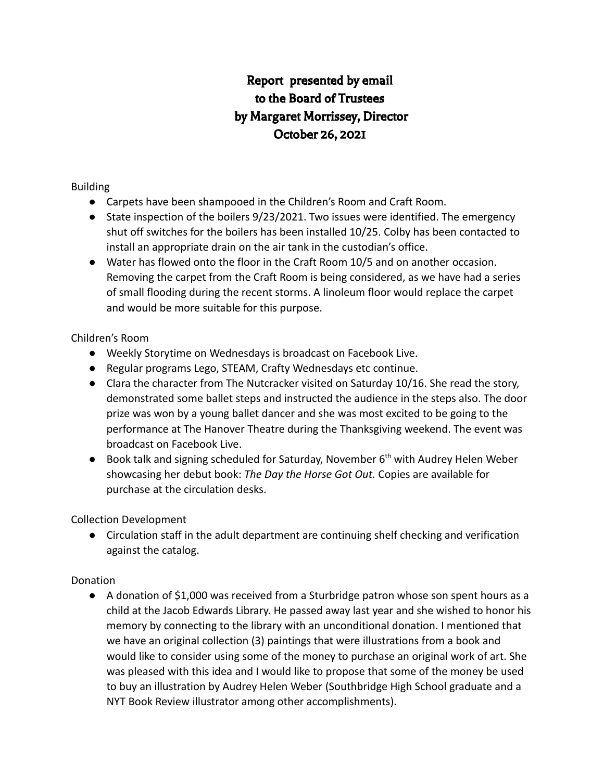# Report presented by email to the Board of Trustees by Margaret Morrissey, Director October 26, 2021

### Building

- Carpets have been shampooed in the Children's Room and Craft Room.
- State inspection of the boilers 9/23/2021. Two issues were identified. The emergency shut off switches for the boilers has been installed 10/25. Colby has been contacted to install an appropriate drain on the air tank in the custodian's office.
- Water has flowed onto the floor in the Craft Room 10/5 and on another occasion. Removing the carpet from the Craft Room is being considered, as we have had a series of small flooding during the recent storms. A linoleum floor would replace the carpet and would be more suitable for this purpose.

### Children's Room

- Weekly Storytime on Wednesdays is broadcast on Facebook Live.
- Regular programs Lego, STEAM, Crafty Wednesdays etc continue.
- Clara the character from The Nutcracker visited on Saturday 10/16. She read the story, demonstrated some ballet steps and instructed the audience in the steps also. The door prize was won by a young ballet dancer and she was most excited to be going to the performance at The Hanover Theatre during the Thanksgiving weekend. The event was broadcast on Facebook Live.
- Book talk and signing scheduled for Saturday, November  $6<sup>th</sup>$  with Audrey Helen Weber showcasing her debut book: *The Day the Horse Got Out.* Copies are available for purchase at the circulation desks.

Collection Development

● Circulation staff in the adult department are continuing shelf checking and verification against the catalog.

## Donation

● A donation of \$1,000 was received from a Sturbridge patron whose son spent hours as a child at the Jacob Edwards Library. He passed away last year and she wished to honor his memory by connecting to the library with an unconditional donation. I mentioned that we have an original collection (3) paintings that were illustrations from a book and would like to consider using some of the money to purchase an original work of art. She was pleased with this idea and I would like to propose that some of the money be used to buy an illustration by Audrey Helen Weber (Southbridge High School graduate and a NYT Book Review illustrator among other accomplishments).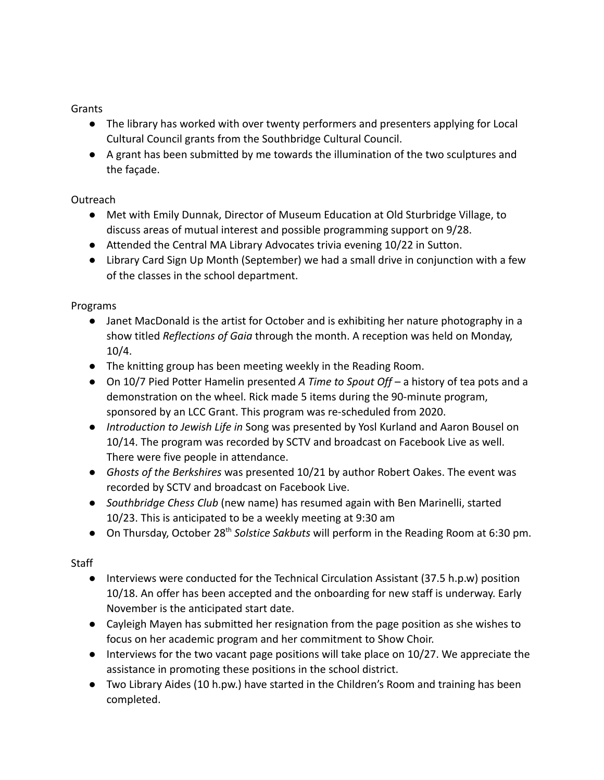Grants

- The library has worked with over twenty performers and presenters applying for Local Cultural Council grants from the Southbridge Cultural Council.
- A grant has been submitted by me towards the illumination of the two sculptures and the façade.

# Outreach

- Met with Emily Dunnak, Director of Museum Education at Old Sturbridge Village, to discuss areas of mutual interest and possible programming support on 9/28.
- Attended the Central MA Library Advocates trivia evening 10/22 in Sutton.
- Library Card Sign Up Month (September) we had a small drive in conjunction with a few of the classes in the school department.

## Programs

- Janet MacDonald is the artist for October and is exhibiting her nature photography in a show titled *Reflections of Gaia* through the month. A reception was held on Monday, 10/4.
- The knitting group has been meeting weekly in the Reading Room.
- On 10/7 Pied Potter Hamelin presented *A Time to Spout Off* a history of tea pots and a demonstration on the wheel. Rick made 5 items during the 90-minute program, sponsored by an LCC Grant. This program was re-scheduled from 2020.
- *Introduction to Jewish Life in* Song was presented by Yosl Kurland and Aaron Bousel on 10/14. The program was recorded by SCTV and broadcast on Facebook Live as well. There were five people in attendance.
- *Ghosts of the Berkshires* was presented 10/21 by author Robert Oakes. The event was recorded by SCTV and broadcast on Facebook Live.
- *Southbridge Chess Club* (new name) has resumed again with Ben Marinelli, started 10/23. This is anticipated to be a weekly meeting at 9:30 am
- On Thursday, October 28<sup>th</sup> Solstice Sakbuts will perform in the Reading Room at 6:30 pm.

# **Staff**

- Interviews were conducted for the Technical Circulation Assistant (37.5 h.p.w) position 10/18. An offer has been accepted and the onboarding for new staff is underway. Early November is the anticipated start date.
- Cayleigh Mayen has submitted her resignation from the page position as she wishes to focus on her academic program and her commitment to Show Choir.
- Interviews for the two vacant page positions will take place on 10/27. We appreciate the assistance in promoting these positions in the school district.
- Two Library Aides (10 h.pw.) have started in the Children's Room and training has been completed.